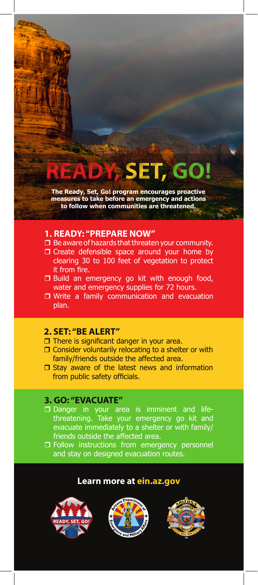# **READY**, **SET, GO!**

**The Ready, Set, Go! program encourages proactive measures to take before an emergency and actions to follow when communities are threatened.**

#### **1. READY: "PREPARE NOW"**

- $\Box$  Be aware of hazards that threaten your community.
- O Create defensible space around your home by clearing 30 to 100 feet of vegetation to protect it from fire.
- $\Box$  Build an emergency go kit with enough food, water and emergency supplies for 72 hours.
- □ Write a family communication and evacuation plan.

## **2. SET: "BE ALERT"**

- $\Box$  There is significant danger in your area.
- $\Box$  Consider voluntarily relocating to a shelter or with family/friends outside the affected area.
- $\square$  Stay aware of the latest news and information from public safety officials.

## **3. GO: "EVACUATE"**

- Danger in your area is imminent and lifethreatening. Take your emergency go kit and evacuate immediately to a shelter or with family/ friends outside the affected area.
- Follow instructions from emergency personnel and stay on designed evacuation routes.

#### **Learn more at ein.az.gov**